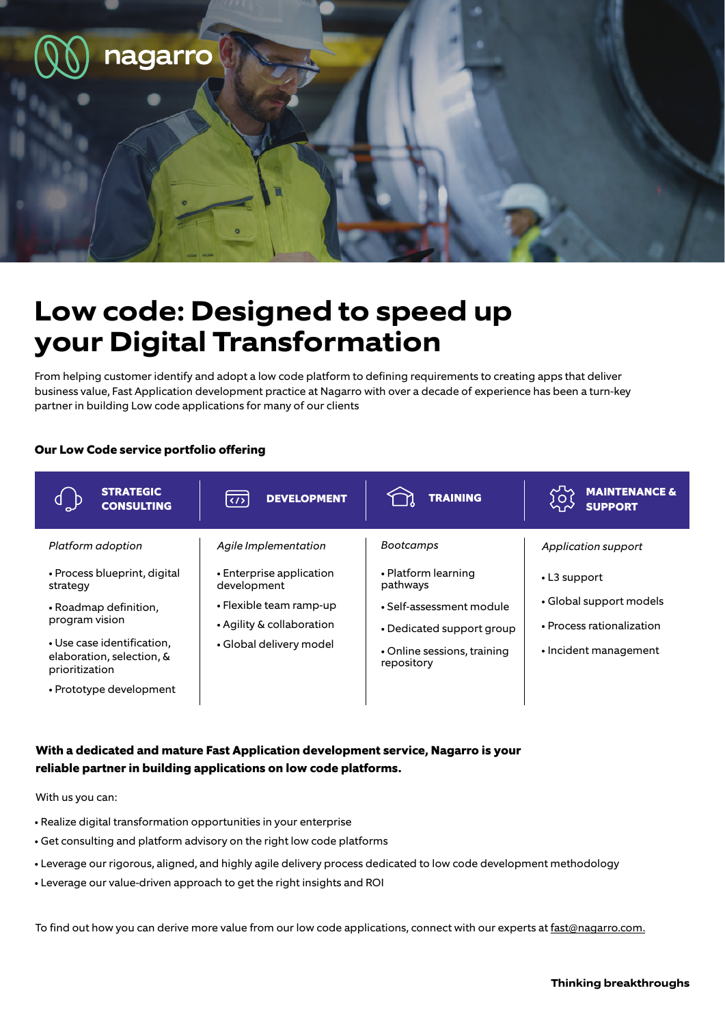

## **Low code: Designed to speed up your Digital Transformation**

From helping customer identify and adopt a low code platform to defining requirements to creating apps that deliver business value, Fast Application development practice at Nagarro with over a decade of experience has been a turn-key partner in building Low code applications for many of our clients

## **Our Low Code service portfolio offering**

| <b>STRATEGIC</b><br><b>CONSULTING</b>                                                                                                                                                                            | <b>DEVELOPMENT</b><br>$\langle \rangle$                                                                                                            | <b>TRAINING</b>                                                                                                                                           | <b>MAINTENANCE &amp;</b><br>O<br><b>SUPPORT</b>                                                                            |
|------------------------------------------------------------------------------------------------------------------------------------------------------------------------------------------------------------------|----------------------------------------------------------------------------------------------------------------------------------------------------|-----------------------------------------------------------------------------------------------------------------------------------------------------------|----------------------------------------------------------------------------------------------------------------------------|
| Platform adoption<br>• Process blueprint, digital<br>strategy<br>• Roadmap definition,<br>program vision<br>• Use case identification,<br>elaboration, selection, &<br>prioritization<br>• Prototype development | Agile Implementation<br>• Enterprise application<br>development<br>• Flexible team ramp-up<br>• Agility & collaboration<br>• Global delivery model | <b>Bootcamps</b><br>• Platform learning<br>pathways<br>• Self-assessment module<br>• Dedicated support group<br>• Online sessions, training<br>repository | Application support<br>$\cdot$ L3 support<br>• Global support models<br>• Process rationalization<br>• Incident management |

## **With a dedicated and mature Fast Application development service, Nagarro is your reliable partner in building applications on low code platforms.**

With us you can:

- Realize digital transformation opportunities in your enterprise
- Get consulting and platform advisory on the right low code platforms
- Leverage our rigorous, aligned, and highly agile delivery process dedicated to low code development methodology
- Leverage our value-driven approach to get the right insights and ROI

To find out how you can derive more value from our low code applications, connect with our experts at fast@nagarro.com.